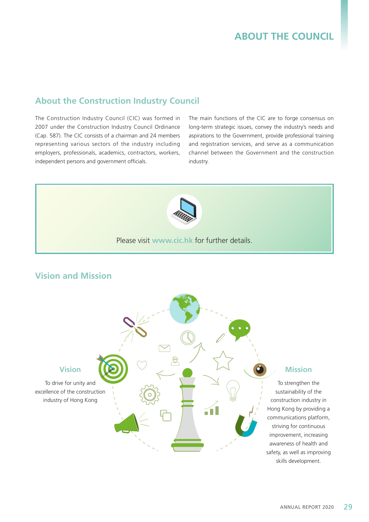### **About the Construction Industry Council**

The Construction Industry Council (CIC) was formed in 2007 under the Construction Industry Council Ordinance (Cap. 587). The CIC consists of a chairman and 24 members representing various sectors of the industry including employers, professionals, academics, contractors, workers, independent persons and government officials.

The main functions of the CIC are to forge consensus on long-term strategic issues, convey the industry's needs and aspirations to the Government, provide professional training and registration services, and serve as a communication channel between the Government and the construction industry.



#### Please visit **www.cic.hk** for further details.

## **Vision and Mission**



### **Mission**

To strengthen the sustainability of the construction industry in Hong Kong by providing a communications platform, striving for continuous improvement, increasing awareness of health and safety, as well as improving skills development.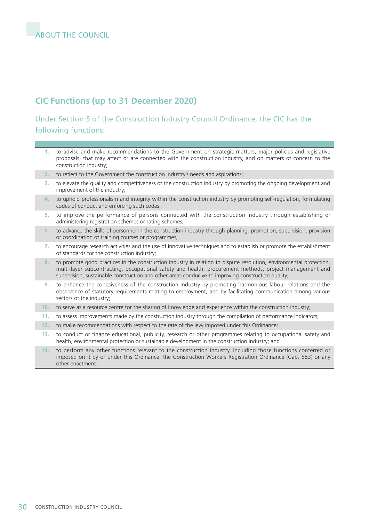# **CIC Functions (up to 31 December 2020)**

### Under Section 5 of the Construction Industry Council Ordinance, the CIC has the following functions:

- **1.** to advise and make recommendations to the Government on strategic matters, major policies and legislative proposals, that may affect or are connected with the construction industry, and on matters of concern to the construction industry;
- **2.** to reflect to the Government the construction industry's needs and aspirations;
- **3.** to elevate the quality and competitiveness of the construction industry by promoting the ongoing development and improvement of the industry;
- **4.** to uphold professionalism and integrity within the construction industry by promoting self-regulation, formulating codes of conduct and enforcing such codes;
- **5.** to improve the performance of persons connected with the construction industry through establishing or administering registration schemes or rating schemes;
- **6.** to advance the skills of personnel in the construction industry through planning, promotion, supervision, provision or coordination of training courses or programmes;
- **7.** to encourage research activities and the use of innovative techniques and to establish or promote the establishment of standards for the construction industry;
- **8.** to promote good practices in the construction industry in relation to dispute resolution, environmental protection, multi-layer subcontracting, occupational safety and health, procurement methods, project management and supervision, sustainable construction and other areas conducive to improving construction quality;
- **9.** to enhance the cohesiveness of the construction industry by promoting harmonious labour relations and the observance of statutory requirements relating to employment, and by facilitating communication among various sectors of the industry;
- **10.** to serve as a resource centre for the sharing of knowledge and experience within the construction industry;
- **11.** to assess improvements made by the construction industry through the compilation of performance indicators;
- **12.** to make recommendations with respect to the rate of the levy imposed under this Ordinance;
- **13.** to conduct or finance educational, publicity, research or other programmes relating to occupational safety and health, environmental protection or sustainable development in the construction industry; and
- **14.** to perform any other functions relevant to the construction industry, including those functions conferred or imposed on it by or under this Ordinance, the Construction Workers Registration Ordinance (Cap. 583) or any other enactment.